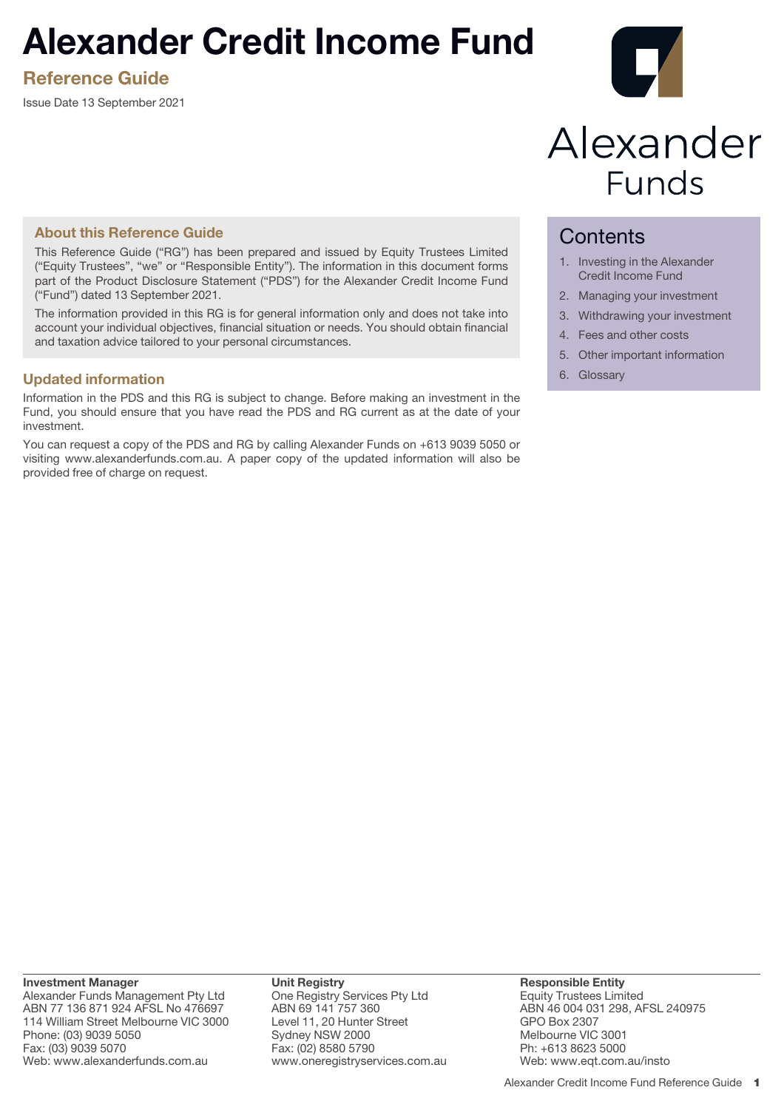# **Alexander Credit Income Fund**

**Reference Guide**

Issue Date 13 September 2021



# Alexander **Funds**

# **About this Reference Guide**

This Reference Guide ("RG") has been prepared and issued by Equity Trustees Limited ("Equity Trustees", "we" or "Responsible Entity"). The information in this document forms part of the Product Disclosure Statement ("PDS") for the Alexander Credit Income Fund ("Fund") dated 13 September 2021.

The information provided in this RG is for general information only and does not take into account your individual objectives, financial situation or needs. You should obtain financial and taxation advice tailored to your personal circumstances.

# **Updated information**

Information in the PDS and this RG is subject to change. Before making an investment in the Fund, you should ensure that you have read the PDS and RG current as at the date of your investment.

You can request a copy of the PDS and RG by calling Alexander Funds on +613 9039 5050 or visiting www.alexanderfunds.com.au. A paper copy of the updated information will also be provided free of charge on request.

# **Contents**

- 1. Investing in the Alexander Credit Income Fund
- 2. Managing your investment
- 3. Withdrawing your investment
- 4. Fees and other costs
- 5. Other important information
- 6. Glossary

**Investment Manager** Alexander Funds Management Pty Ltd ABN 77 136 871 924 AFSL No 476697 114 William Street Melbourne VIC 3000 Phone: (03) 9039 5050 Fax: (03) 9039 5070 Web: www.alexanderfunds.com.au

**Unit Registry** One Registry Services Pty Ltd ABN 69 141 757 360 Level 11, 20 Hunter Street Sydney NSW 2000 Fax: (02) 8580 5790 www.oneregistryservices.com.au **Responsible Entity** Equity Trustees Limited ABN 46 004 031 298, AFSL 240975 GPO Box 2307 Melbourne VIC 3001 Ph: +613 8623 5000 Web: www.eqt.com.au/insto

Alexander Credit Income Fund Reference Guide 1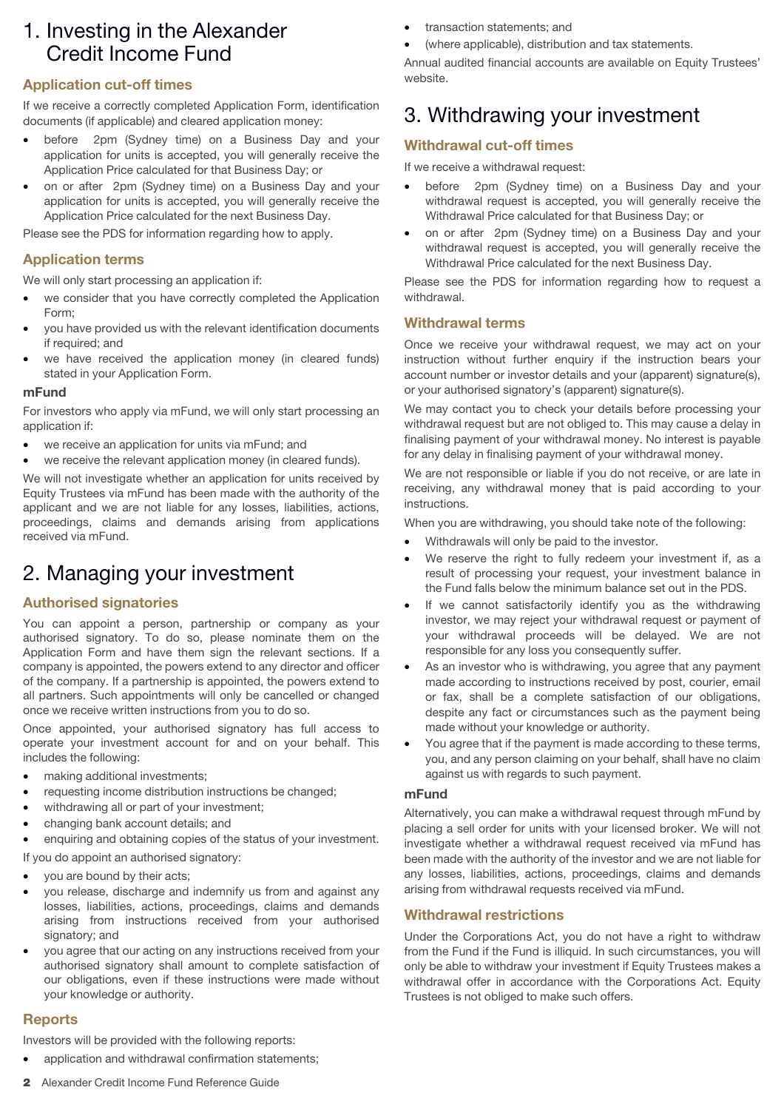# 1. Investing in the Alexander Credit Income Fund

# **Application cut-off times**

If we receive a correctly completed Application Form, identification documents (if applicable) and cleared application money:

- before 2pm (Sydney time) on a Business Day and your application for units is accepted, you will generally receive the Application Price calculated for that Business Day; or
- on or after 2pm (Sydney time) on a Business Day and your application for units is accepted, you will generally receive the Application Price calculated for the next Business Day.

Please see the PDS for information regarding how to apply.

# **Application terms**

We will only start processing an application if:

- we consider that you have correctly completed the Application Form;
- you have provided us with the relevant identification documents if required; and
- we have received the application money (in cleared funds) stated in your Application Form.

#### **mFund**

For investors who apply via mFund, we will only start processing an application if:

- we receive an application for units via mFund; and
- we receive the relevant application money (in cleared funds).

We will not investigate whether an application for units received by Equity Trustees via mFund has been made with the authority of the applicant and we are not liable for any losses, liabilities, actions, proceedings, claims and demands arising from applications received via mFund.

# 2. Managing your investment

#### **Authorised signatories**

You can appoint a person, partnership or company as your authorised signatory. To do so, please nominate them on the Application Form and have them sign the relevant sections. If a company is appointed, the powers extend to any director and officer of the company. If a partnership is appointed, the powers extend to all partners. Such appointments will only be cancelled or changed once we receive written instructions from you to do so.

Once appointed, your authorised signatory has full access to operate your investment account for and on your behalf. This includes the following:

- making additional investments;
- requesting income distribution instructions be changed;
- withdrawing all or part of your investment;
- changing bank account details; and
- enquiring and obtaining copies of the status of your investment.

If you do appoint an authorised signatory:

- you are bound by their acts;
- you release, discharge and indemnify us from and against any losses, liabilities, actions, proceedings, claims and demands arising from instructions received from your authorised signatory; and
- you agree that our acting on any instructions received from your authorised signatory shall amount to complete satisfaction of our obligations, even if these instructions were made without your knowledge or authority.

# **Reports**

Investors will be provided with the following reports:

• application and withdrawal confirmation statements;

- transaction statements; and
- (where applicable), distribution and tax statements.

Annual audited financial accounts are available on Equity Trustees' website.

# 3. Withdrawing your investment

# **Withdrawal cut-off times**

If we receive a withdrawal request:

- before 2pm (Sydney time) on a Business Day and your withdrawal request is accepted, you will generally receive the Withdrawal Price calculated for that Business Day; or
- on or after 2pm (Sydney time) on a Business Day and your withdrawal request is accepted, you will generally receive the Withdrawal Price calculated for the next Business Day.

Please see the PDS for information regarding how to request a withdrawal.

## **Withdrawal terms**

Once we receive your withdrawal request, we may act on your instruction without further enquiry if the instruction bears your account number or investor details and your (apparent) signature(s), or your authorised signatory's (apparent) signature(s).

We may contact you to check your details before processing your withdrawal request but are not obliged to. This may cause a delay in finalising payment of your withdrawal money. No interest is payable for any delay in finalising payment of your withdrawal money.

We are not responsible or liable if you do not receive, or are late in receiving, any withdrawal money that is paid according to your instructions.

When you are withdrawing, you should take note of the following:

- Withdrawals will only be paid to the investor.
- We reserve the right to fully redeem your investment if, as a result of processing your request, your investment balance in the Fund falls below the minimum balance set out in the PDS.
- If we cannot satisfactorily identify you as the withdrawing investor, we may reject your withdrawal request or payment of your withdrawal proceeds will be delayed. We are not responsible for any loss you consequently suffer.
- As an investor who is withdrawing, you agree that any payment made according to instructions received by post, courier, email or fax, shall be a complete satisfaction of our obligations, despite any fact or circumstances such as the payment being made without your knowledge or authority.
- You agree that if the payment is made according to these terms, you, and any person claiming on your behalf, shall have no claim against us with regards to such payment.

#### **mFund**

Alternatively, you can make a withdrawal request through mFund by placing a sell order for units with your licensed broker. We will not investigate whether a withdrawal request received via mFund has been made with the authority of the investor and we are not liable for any losses, liabilities, actions, proceedings, claims and demands arising from withdrawal requests received via mFund.

# **Withdrawal restrictions**

Under the Corporations Act, you do not have a right to withdraw from the Fund if the Fund is illiquid. In such circumstances, you will only be able to withdraw your investment if Equity Trustees makes a withdrawal offer in accordance with the Corporations Act. Equity Trustees is not obliged to make such offers.

2 Alexander Credit Income Fund Reference Guide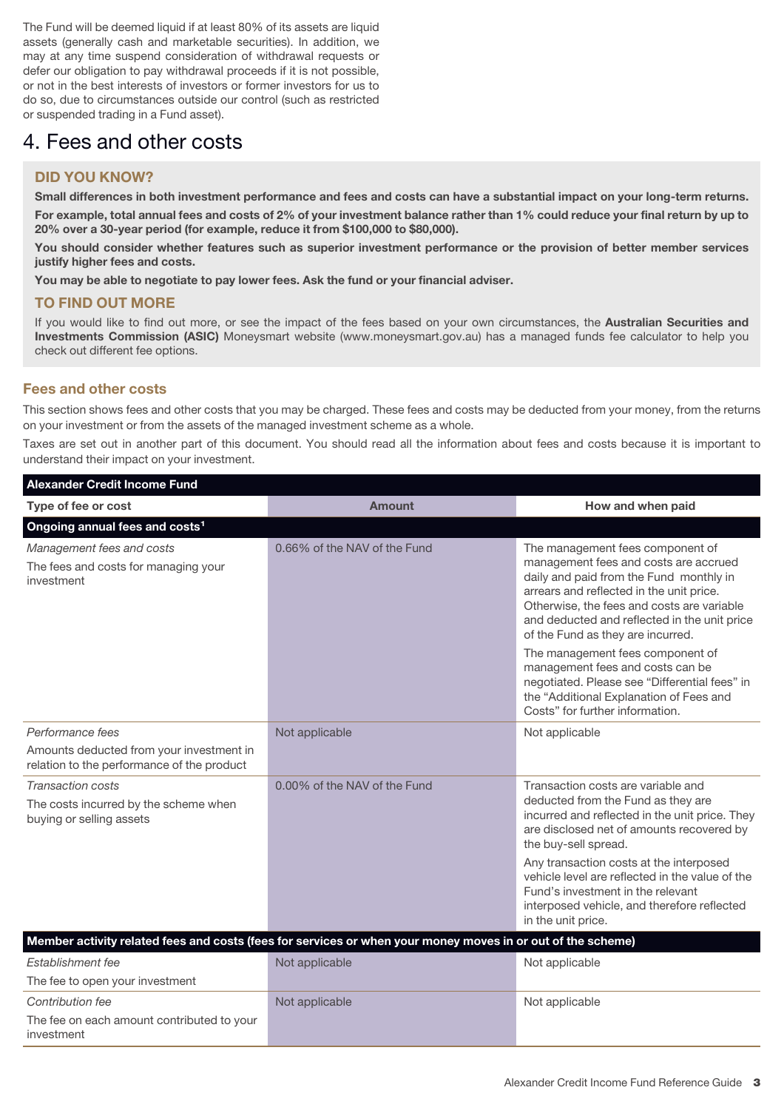The Fund will be deemed liquid if at least 80% of its assets are liquid assets (generally cash and marketable securities). In addition, we may at any time suspend consideration of withdrawal requests or defer our obligation to pay withdrawal proceeds if it is not possible, or not in the best interests of investors or former investors for us to do so, due to circumstances outside our control (such as restricted or suspended trading in a Fund asset).

# 4. Fees and other costs

# **DID YOU KNOW?**

**Small differences in both investment performance and fees and costs can have a substantial impact on your long-term returns. For example, total annual fees and costs of 2% of your investment balance rather than 1% could reduce your final return by up to 20% over a 30-year period (for example, reduce it from \$100,000 to \$80,000).**

**You should consider whether features such as superior investment performance or the provision of better member services justify higher fees and costs.**

**You may be able to negotiate to pay lower fees. Ask the fund or your financial adviser.**

# **TO FIND OUT MORE**

If you would like to find out more, or see the impact of the fees based on your own circumstances, the **Australian Securities and Investments Commission (ASIC)** Moneysmart website (www.moneysmart.gov.au) has a managed funds fee calculator to help you check out different fee options.

# **Fees and other costs**

This section shows fees and other costs that you may be charged. These fees and costs may be deducted from your money, from the returns on your investment or from the assets of the managed investment scheme as a whole.

Taxes are set out in another part of this document. You should read all the information about fees and costs because it is important to understand their impact on your investment.

| <b>Alexander Credit Income Fund</b>                                                    |                                                                                                             |                                                                                                                                                                                                                                                                                                     |  |  |  |  |
|----------------------------------------------------------------------------------------|-------------------------------------------------------------------------------------------------------------|-----------------------------------------------------------------------------------------------------------------------------------------------------------------------------------------------------------------------------------------------------------------------------------------------------|--|--|--|--|
| Type of fee or cost                                                                    | <b>Amount</b>                                                                                               | How and when paid                                                                                                                                                                                                                                                                                   |  |  |  |  |
| Ongoing annual fees and costs <sup>1</sup>                                             |                                                                                                             |                                                                                                                                                                                                                                                                                                     |  |  |  |  |
| Management fees and costs<br>The fees and costs for managing your<br>investment        | 0.66% of the NAV of the Fund                                                                                | The management fees component of<br>management fees and costs are accrued<br>daily and paid from the Fund monthly in<br>arrears and reflected in the unit price.<br>Otherwise, the fees and costs are variable<br>and deducted and reflected in the unit price<br>of the Fund as they are incurred. |  |  |  |  |
|                                                                                        |                                                                                                             | The management fees component of<br>management fees and costs can be<br>negotiated. Please see "Differential fees" in<br>the "Additional Explanation of Fees and<br>Costs" for further information.                                                                                                 |  |  |  |  |
| Performance fees                                                                       | Not applicable                                                                                              | Not applicable                                                                                                                                                                                                                                                                                      |  |  |  |  |
| Amounts deducted from your investment in<br>relation to the performance of the product |                                                                                                             |                                                                                                                                                                                                                                                                                                     |  |  |  |  |
| Transaction costs<br>The costs incurred by the scheme when<br>buying or selling assets | 0.00% of the NAV of the Fund                                                                                | Transaction costs are variable and<br>deducted from the Fund as they are<br>incurred and reflected in the unit price. They<br>are disclosed net of amounts recovered by<br>the buy-sell spread.                                                                                                     |  |  |  |  |
|                                                                                        |                                                                                                             | Any transaction costs at the interposed<br>vehicle level are reflected in the value of the<br>Fund's investment in the relevant<br>interposed vehicle, and therefore reflected<br>in the unit price.                                                                                                |  |  |  |  |
|                                                                                        | Member activity related fees and costs (fees for services or when your money moves in or out of the scheme) |                                                                                                                                                                                                                                                                                                     |  |  |  |  |
| Establishment fee                                                                      | Not applicable                                                                                              | Not applicable                                                                                                                                                                                                                                                                                      |  |  |  |  |
| The fee to open your investment                                                        |                                                                                                             |                                                                                                                                                                                                                                                                                                     |  |  |  |  |
| Contribution fee                                                                       | Not applicable                                                                                              | Not applicable                                                                                                                                                                                                                                                                                      |  |  |  |  |
| The fee on each amount contributed to your<br>investment                               |                                                                                                             |                                                                                                                                                                                                                                                                                                     |  |  |  |  |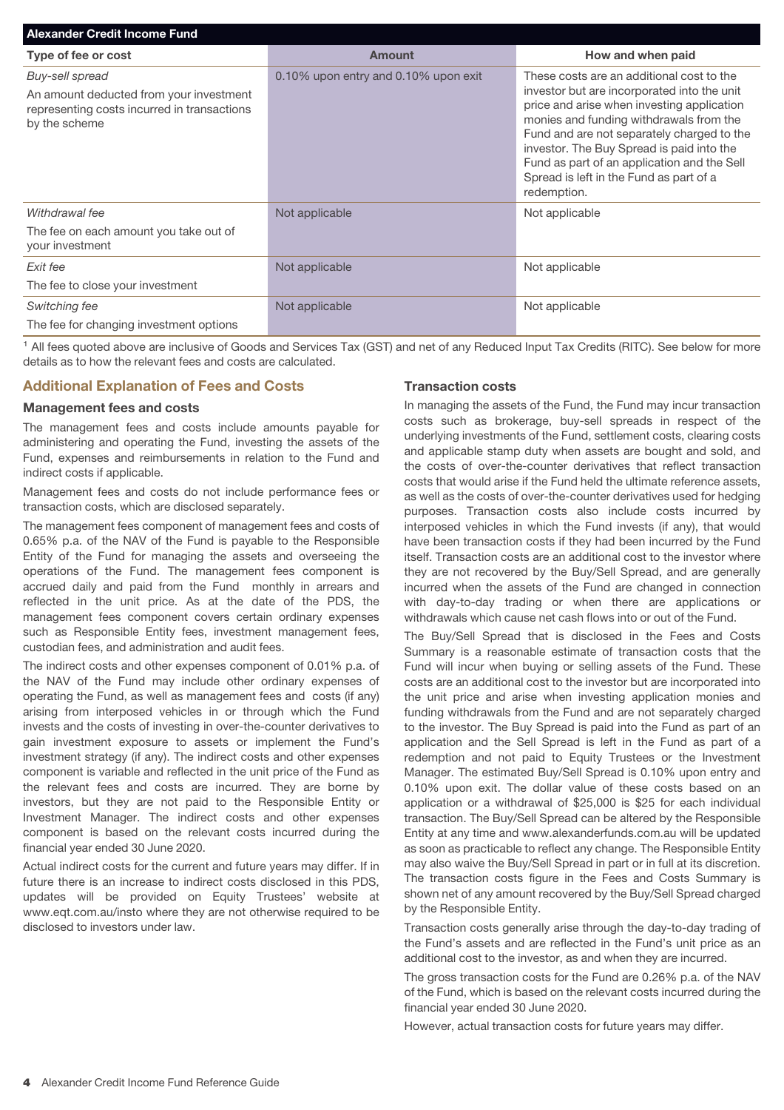| <b>Alexander Credit Income Fund</b>                                                                                        |                                      |                                                                                                                                                                                                                                                                                                                                                                                       |  |  |  |  |
|----------------------------------------------------------------------------------------------------------------------------|--------------------------------------|---------------------------------------------------------------------------------------------------------------------------------------------------------------------------------------------------------------------------------------------------------------------------------------------------------------------------------------------------------------------------------------|--|--|--|--|
| Type of fee or cost                                                                                                        | <b>Amount</b>                        | How and when paid                                                                                                                                                                                                                                                                                                                                                                     |  |  |  |  |
| Buy-sell spread<br>An amount deducted from your investment<br>representing costs incurred in transactions<br>by the scheme | 0.10% upon entry and 0.10% upon exit | These costs are an additional cost to the<br>investor but are incorporated into the unit<br>price and arise when investing application<br>monies and funding withdrawals from the<br>Fund and are not separately charged to the<br>investor. The Buy Spread is paid into the<br>Fund as part of an application and the Sell<br>Spread is left in the Fund as part of a<br>redemption. |  |  |  |  |
| Withdrawal fee                                                                                                             | Not applicable                       | Not applicable                                                                                                                                                                                                                                                                                                                                                                        |  |  |  |  |
| The fee on each amount you take out of<br>your investment                                                                  |                                      |                                                                                                                                                                                                                                                                                                                                                                                       |  |  |  |  |
| Exit fee                                                                                                                   | Not applicable                       | Not applicable                                                                                                                                                                                                                                                                                                                                                                        |  |  |  |  |
| The fee to close your investment                                                                                           |                                      |                                                                                                                                                                                                                                                                                                                                                                                       |  |  |  |  |
| Switching fee                                                                                                              | Not applicable                       | Not applicable                                                                                                                                                                                                                                                                                                                                                                        |  |  |  |  |
| The fee for changing investment options                                                                                    |                                      |                                                                                                                                                                                                                                                                                                                                                                                       |  |  |  |  |

<sup>1</sup> All fees quoted above are inclusive of Goods and Services Tax (GST) and net of any Reduced Input Tax Credits (RITC). See below for more details as to how the relevant fees and costs are calculated.

# **Additional Explanation of Fees and Costs**

#### **Management fees and costs**

The management fees and costs include amounts payable for administering and operating the Fund, investing the assets of the Fund, expenses and reimbursements in relation to the Fund and indirect costs if applicable.

Management fees and costs do not include performance fees or transaction costs, which are disclosed separately.

The management fees component of management fees and costs of 0.65% p.a. of the NAV of the Fund is payable to the Responsible Entity of the Fund for managing the assets and overseeing the operations of the Fund. The management fees component is accrued daily and paid from the Fund monthly in arrears and reflected in the unit price. As at the date of the PDS, the management fees component covers certain ordinary expenses such as Responsible Entity fees, investment management fees, custodian fees, and administration and audit fees.

The indirect costs and other expenses component of 0.01% p.a. of the NAV of the Fund may include other ordinary expenses of operating the Fund, as well as management fees and costs (if any) arising from interposed vehicles in or through which the Fund invests and the costs of investing in over-the-counter derivatives to gain investment exposure to assets or implement the Fund's investment strategy (if any). The indirect costs and other expenses component is variable and reflected in the unit price of the Fund as the relevant fees and costs are incurred. They are borne by investors, but they are not paid to the Responsible Entity or Investment Manager. The indirect costs and other expenses component is based on the relevant costs incurred during the financial year ended 30 June 2020.

Actual indirect costs for the current and future years may differ. If in future there is an increase to indirect costs disclosed in this PDS, updates will be provided on Equity Trustees' website at www.eqt.com.au/insto where they are not otherwise required to be disclosed to investors under law.

#### **Transaction costs**

In managing the assets of the Fund, the Fund may incur transaction costs such as brokerage, buy-sell spreads in respect of the underlying investments of the Fund, settlement costs, clearing costs and applicable stamp duty when assets are bought and sold, and the costs of over-the-counter derivatives that reflect transaction costs that would arise if the Fund held the ultimate reference assets, as well as the costs of over-the-counter derivatives used for hedging purposes. Transaction costs also include costs incurred by interposed vehicles in which the Fund invests (if any), that would have been transaction costs if they had been incurred by the Fund itself. Transaction costs are an additional cost to the investor where they are not recovered by the Buy/Sell Spread, and are generally incurred when the assets of the Fund are changed in connection with day-to-day trading or when there are applications or withdrawals which cause net cash flows into or out of the Fund.

The Buy/Sell Spread that is disclosed in the Fees and Costs Summary is a reasonable estimate of transaction costs that the Fund will incur when buying or selling assets of the Fund. These costs are an additional cost to the investor but are incorporated into the unit price and arise when investing application monies and funding withdrawals from the Fund and are not separately charged to the investor. The Buy Spread is paid into the Fund as part of an application and the Sell Spread is left in the Fund as part of a redemption and not paid to Equity Trustees or the Investment Manager. The estimated Buy/Sell Spread is 0.10% upon entry and 0.10% upon exit. The dollar value of these costs based on an application or a withdrawal of \$25,000 is \$25 for each individual transaction. The Buy/Sell Spread can be altered by the Responsible Entity at any time and www.alexanderfunds.com.au will be updated as soon as practicable to reflect any change. The Responsible Entity may also waive the Buy/Sell Spread in part or in full at its discretion. The transaction costs figure in the Fees and Costs Summary is shown net of any amount recovered by the Buy/Sell Spread charged by the Responsible Entity.

Transaction costs generally arise through the day-to-day trading of the Fund's assets and are reflected in the Fund's unit price as an additional cost to the investor, as and when they are incurred.

The gross transaction costs for the Fund are 0.26% p.a. of the NAV of the Fund, which is based on the relevant costs incurred during the financial year ended 30 June 2020.

However, actual transaction costs for future years may differ.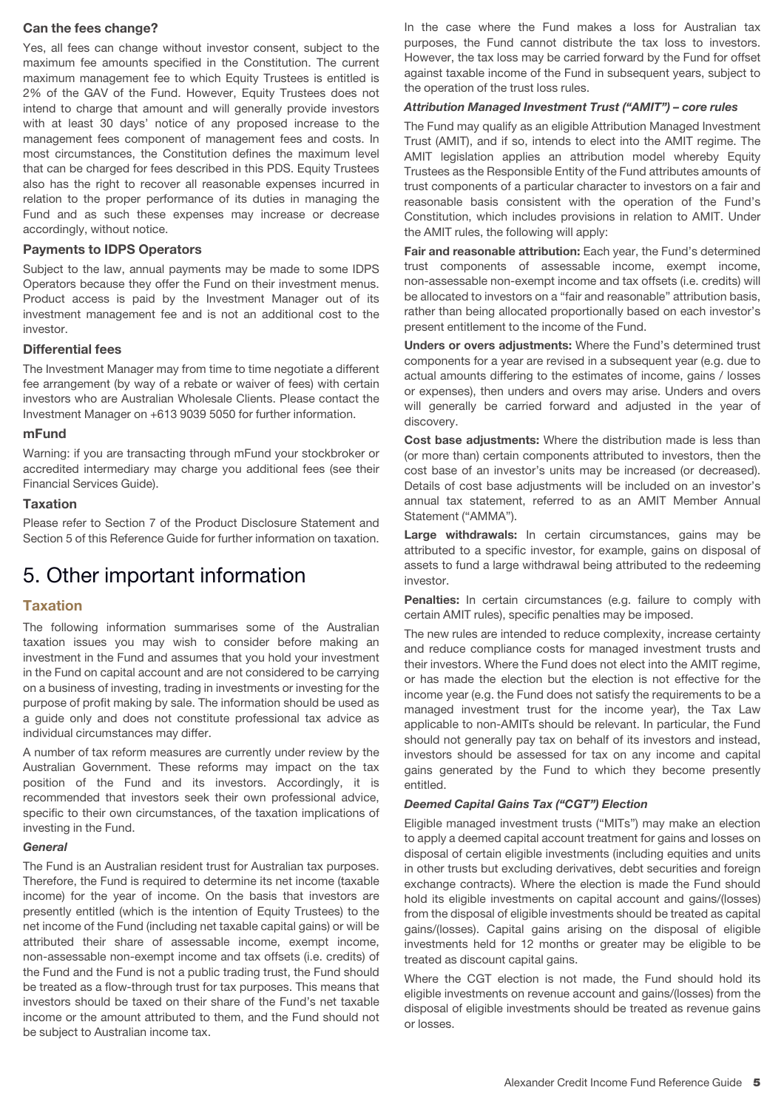## **Can the fees change?**

Yes, all fees can change without investor consent, subject to the maximum fee amounts specified in the Constitution. The current maximum management fee to which Equity Trustees is entitled is 2% of the GAV of the Fund. However, Equity Trustees does not intend to charge that amount and will generally provide investors with at least 30 days' notice of any proposed increase to the management fees component of management fees and costs. In most circumstances, the Constitution defines the maximum level that can be charged for fees described in this PDS. Equity Trustees also has the right to recover all reasonable expenses incurred in relation to the proper performance of its duties in managing the Fund and as such these expenses may increase or decrease accordingly, without notice.

#### **Payments to IDPS Operators**

Subject to the law, annual payments may be made to some IDPS Operators because they offer the Fund on their investment menus. Product access is paid by the Investment Manager out of its investment management fee and is not an additional cost to the investor.

#### **Differential fees**

The Investment Manager may from time to time negotiate a different fee arrangement (by way of a rebate or waiver of fees) with certain investors who are Australian Wholesale Clients. Please contact the Investment Manager on +613 9039 5050 for further information.

#### **mFund**

Warning: if you are transacting through mFund your stockbroker or accredited intermediary may charge you additional fees (see their Financial Services Guide).

#### **Taxation**

Please refer to Section 7 of the Product Disclosure Statement and Section 5 of this Reference Guide for further information on taxation.

# 5. Other important information

## **Taxation**

The following information summarises some of the Australian taxation issues you may wish to consider before making an investment in the Fund and assumes that you hold your investment in the Fund on capital account and are not considered to be carrying on a business of investing, trading in investments or investing for the purpose of profit making by sale. The information should be used as a guide only and does not constitute professional tax advice as individual circumstances may differ.

A number of tax reform measures are currently under review by the Australian Government. These reforms may impact on the tax position of the Fund and its investors. Accordingly, it is recommended that investors seek their own professional advice, specific to their own circumstances, of the taxation implications of investing in the Fund.

#### *General*

The Fund is an Australian resident trust for Australian tax purposes. Therefore, the Fund is required to determine its net income (taxable income) for the year of income. On the basis that investors are presently entitled (which is the intention of Equity Trustees) to the net income of the Fund (including net taxable capital gains) or will be attributed their share of assessable income, exempt income, non-assessable non-exempt income and tax offsets (i.e. credits) of the Fund and the Fund is not a public trading trust, the Fund should be treated as a flow-through trust for tax purposes. This means that investors should be taxed on their share of the Fund's net taxable income or the amount attributed to them, and the Fund should not be subject to Australian income tax.

In the case where the Fund makes a loss for Australian tax purposes, the Fund cannot distribute the tax loss to investors. However, the tax loss may be carried forward by the Fund for offset against taxable income of the Fund in subsequent years, subject to the operation of the trust loss rules.

#### *Attribution Managed Investment Trust ("AMIT") – core rules*

The Fund may qualify as an eligible Attribution Managed Investment Trust (AMIT), and if so, intends to elect into the AMIT regime. The AMIT legislation applies an attribution model whereby Equity Trustees as the Responsible Entity of the Fund attributes amounts of trust components of a particular character to investors on a fair and reasonable basis consistent with the operation of the Fund's Constitution, which includes provisions in relation to AMIT. Under the AMIT rules, the following will apply:

**Fair and reasonable attribution:** Each year, the Fund's determined trust components of assessable income, exempt income, non-assessable non-exempt income and tax offsets (i.e. credits) will be allocated to investors on a "fair and reasonable" attribution basis, rather than being allocated proportionally based on each investor's present entitlement to the income of the Fund.

**Unders or overs adjustments:** Where the Fund's determined trust components for a year are revised in a subsequent year (e.g. due to actual amounts differing to the estimates of income, gains / losses or expenses), then unders and overs may arise. Unders and overs will generally be carried forward and adjusted in the year of discovery.

**Cost base adjustments:** Where the distribution made is less than (or more than) certain components attributed to investors, then the cost base of an investor's units may be increased (or decreased). Details of cost base adjustments will be included on an investor's annual tax statement, referred to as an AMIT Member Annual Statement ("AMMA").

**Large withdrawals:** In certain circumstances, gains may be attributed to a specific investor, for example, gains on disposal of assets to fund a large withdrawal being attributed to the redeeming investor.

**Penalties:** In certain circumstances (e.g. failure to comply with certain AMIT rules), specific penalties may be imposed.

The new rules are intended to reduce complexity, increase certainty and reduce compliance costs for managed investment trusts and their investors. Where the Fund does not elect into the AMIT regime, or has made the election but the election is not effective for the income year (e.g. the Fund does not satisfy the requirements to be a managed investment trust for the income year), the Tax Law applicable to non-AMITs should be relevant. In particular, the Fund should not generally pay tax on behalf of its investors and instead, investors should be assessed for tax on any income and capital gains generated by the Fund to which they become presently entitled.

#### *Deemed Capital Gains Tax ("CGT") Election*

Eligible managed investment trusts ("MITs") may make an election to apply a deemed capital account treatment for gains and losses on disposal of certain eligible investments (including equities and units in other trusts but excluding derivatives, debt securities and foreign exchange contracts). Where the election is made the Fund should hold its eligible investments on capital account and gains/(losses) from the disposal of eligible investments should be treated as capital gains/(losses). Capital gains arising on the disposal of eligible investments held for 12 months or greater may be eligible to be treated as discount capital gains.

Where the CGT election is not made, the Fund should hold its eligible investments on revenue account and gains/(losses) from the disposal of eligible investments should be treated as revenue gains or losses.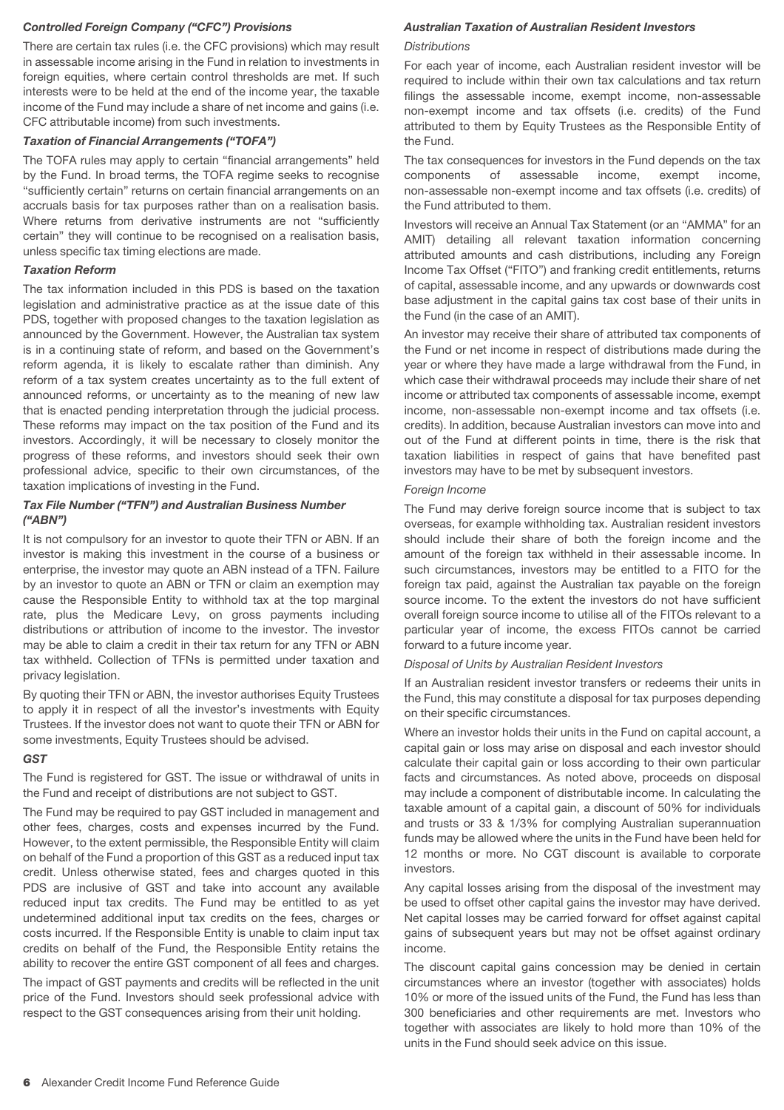#### *Controlled Foreign Company ("CFC") Provisions*

There are certain tax rules (i.e. the CFC provisions) which may result in assessable income arising in the Fund in relation to investments in foreign equities, where certain control thresholds are met. If such interests were to be held at the end of the income year, the taxable income of the Fund may include a share of net income and gains (i.e. CFC attributable income) from such investments.

#### *Taxation of Financial Arrangements ("TOFA")*

The TOFA rules may apply to certain "financial arrangements" held by the Fund. In broad terms, the TOFA regime seeks to recognise "sufficiently certain" returns on certain financial arrangements on an accruals basis for tax purposes rather than on a realisation basis. Where returns from derivative instruments are not "sufficiently certain" they will continue to be recognised on a realisation basis, unless specific tax timing elections are made.

#### *Taxation Reform*

The tax information included in this PDS is based on the taxation legislation and administrative practice as at the issue date of this PDS, together with proposed changes to the taxation legislation as announced by the Government. However, the Australian tax system is in a continuing state of reform, and based on the Government's reform agenda, it is likely to escalate rather than diminish. Any reform of a tax system creates uncertainty as to the full extent of announced reforms, or uncertainty as to the meaning of new law that is enacted pending interpretation through the judicial process. These reforms may impact on the tax position of the Fund and its investors. Accordingly, it will be necessary to closely monitor the progress of these reforms, and investors should seek their own professional advice, specific to their own circumstances, of the taxation implications of investing in the Fund.

#### *Tax File Number ("TFN") and Australian Business Number ("ABN")*

It is not compulsory for an investor to quote their TFN or ABN. If an investor is making this investment in the course of a business or enterprise, the investor may quote an ABN instead of a TFN. Failure by an investor to quote an ABN or TFN or claim an exemption may cause the Responsible Entity to withhold tax at the top marginal rate, plus the Medicare Levy, on gross payments including distributions or attribution of income to the investor. The investor may be able to claim a credit in their tax return for any TFN or ABN tax withheld. Collection of TFNs is permitted under taxation and privacy legislation.

By quoting their TFN or ABN, the investor authorises Equity Trustees to apply it in respect of all the investor's investments with Equity Trustees. If the investor does not want to quote their TFN or ABN for some investments, Equity Trustees should be advised.

#### *GST*

The Fund is registered for GST. The issue or withdrawal of units in the Fund and receipt of distributions are not subject to GST.

The Fund may be required to pay GST included in management and other fees, charges, costs and expenses incurred by the Fund. However, to the extent permissible, the Responsible Entity will claim on behalf of the Fund a proportion of this GST as a reduced input tax credit. Unless otherwise stated, fees and charges quoted in this PDS are inclusive of GST and take into account any available reduced input tax credits. The Fund may be entitled to as yet undetermined additional input tax credits on the fees, charges or costs incurred. If the Responsible Entity is unable to claim input tax credits on behalf of the Fund, the Responsible Entity retains the ability to recover the entire GST component of all fees and charges.

The impact of GST payments and credits will be reflected in the unit price of the Fund. Investors should seek professional advice with respect to the GST consequences arising from their unit holding.

#### *Australian Taxation of Australian Resident Investors*

#### **Distributions**

For each year of income, each Australian resident investor will be required to include within their own tax calculations and tax return filings the assessable income, exempt income, non-assessable non-exempt income and tax offsets (i.e. credits) of the Fund attributed to them by Equity Trustees as the Responsible Entity of the Fund.

The tax consequences for investors in the Fund depends on the tax components of assessable income, exempt income, non-assessable non-exempt income and tax offsets (i.e. credits) of the Fund attributed to them.

Investors will receive an Annual Tax Statement (or an "AMMA" for an AMIT) detailing all relevant taxation information concerning attributed amounts and cash distributions, including any Foreign Income Tax Offset ("FITO") and franking credit entitlements, returns of capital, assessable income, and any upwards or downwards cost base adjustment in the capital gains tax cost base of their units in the Fund (in the case of an AMIT).

An investor may receive their share of attributed tax components of the Fund or net income in respect of distributions made during the year or where they have made a large withdrawal from the Fund, in which case their withdrawal proceeds may include their share of net income or attributed tax components of assessable income, exempt income, non-assessable non-exempt income and tax offsets (i.e. credits). In addition, because Australian investors can move into and out of the Fund at different points in time, there is the risk that taxation liabilities in respect of gains that have benefited past investors may have to be met by subsequent investors.

#### Foreign Income

The Fund may derive foreign source income that is subject to tax overseas, for example withholding tax. Australian resident investors should include their share of both the foreign income and the amount of the foreign tax withheld in their assessable income. In such circumstances, investors may be entitled to a FITO for the foreign tax paid, against the Australian tax payable on the foreign source income. To the extent the investors do not have sufficient overall foreign source income to utilise all of the FITOs relevant to a particular year of income, the excess FITOs cannot be carried forward to a future income year.

#### Disposal of Units by Australian Resident Investors

If an Australian resident investor transfers or redeems their units in the Fund, this may constitute a disposal for tax purposes depending on their specific circumstances.

Where an investor holds their units in the Fund on capital account, a capital gain or loss may arise on disposal and each investor should calculate their capital gain or loss according to their own particular facts and circumstances. As noted above, proceeds on disposal may include a component of distributable income. In calculating the taxable amount of a capital gain, a discount of 50% for individuals and trusts or 33 & 1/3% for complying Australian superannuation funds may be allowed where the units in the Fund have been held for 12 months or more. No CGT discount is available to corporate investors.

Any capital losses arising from the disposal of the investment may be used to offset other capital gains the investor may have derived. Net capital losses may be carried forward for offset against capital gains of subsequent years but may not be offset against ordinary income.

The discount capital gains concession may be denied in certain circumstances where an investor (together with associates) holds 10% or more of the issued units of the Fund, the Fund has less than 300 beneficiaries and other requirements are met. Investors who together with associates are likely to hold more than 10% of the units in the Fund should seek advice on this issue.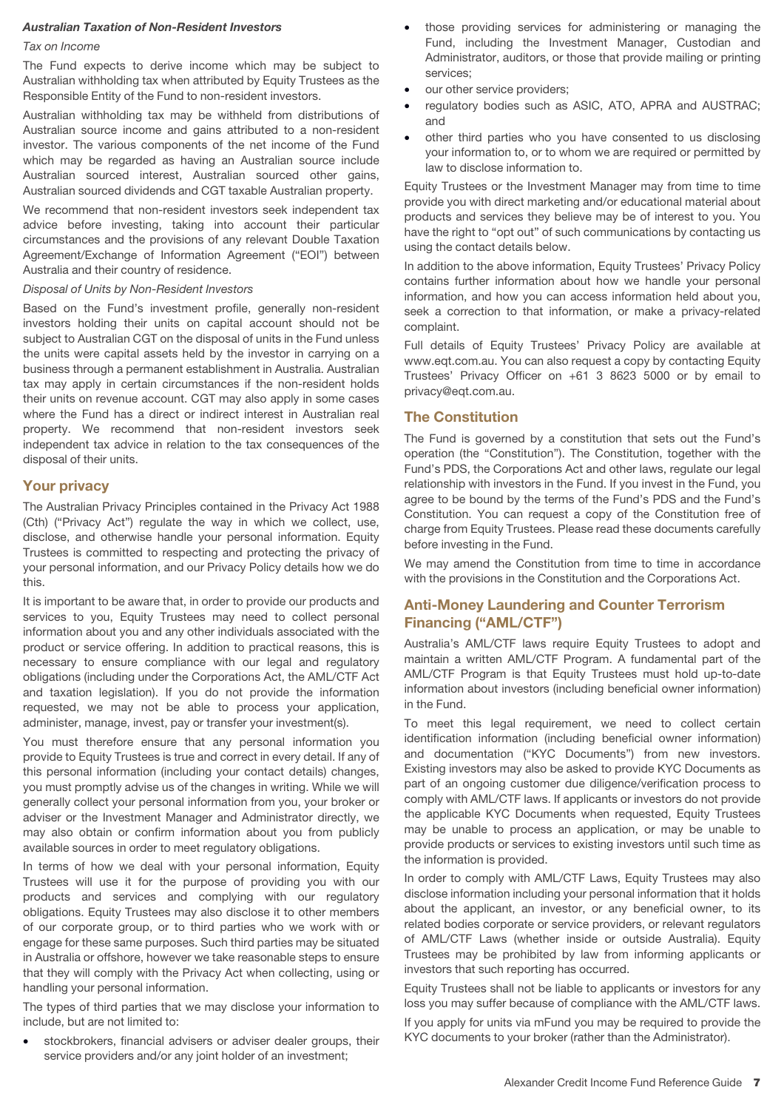#### *Australian Taxation of Non-Resident Investors*

#### Tax on Income

The Fund expects to derive income which may be subject to Australian withholding tax when attributed by Equity Trustees as the Responsible Entity of the Fund to non-resident investors.

Australian withholding tax may be withheld from distributions of Australian source income and gains attributed to a non-resident investor. The various components of the net income of the Fund which may be regarded as having an Australian source include Australian sourced interest, Australian sourced other gains, Australian sourced dividends and CGT taxable Australian property.

We recommend that non-resident investors seek independent tax advice before investing, taking into account their particular circumstances and the provisions of any relevant Double Taxation Agreement/Exchange of Information Agreement ("EOI") between Australia and their country of residence.

#### Disposal of Units by Non-Resident Investors

Based on the Fund's investment profile, generally non-resident investors holding their units on capital account should not be subject to Australian CGT on the disposal of units in the Fund unless the units were capital assets held by the investor in carrying on a business through a permanent establishment in Australia. Australian tax may apply in certain circumstances if the non-resident holds their units on revenue account. CGT may also apply in some cases where the Fund has a direct or indirect interest in Australian real property. We recommend that non-resident investors seek independent tax advice in relation to the tax consequences of the disposal of their units.

#### **Your privacy**

The Australian Privacy Principles contained in the Privacy Act 1988 (Cth) ("Privacy Act") regulate the way in which we collect, use, disclose, and otherwise handle your personal information. Equity Trustees is committed to respecting and protecting the privacy of your personal information, and our Privacy Policy details how we do this.

It is important to be aware that, in order to provide our products and services to you, Equity Trustees may need to collect personal information about you and any other individuals associated with the product or service offering. In addition to practical reasons, this is necessary to ensure compliance with our legal and regulatory obligations (including under the Corporations Act, the AML/CTF Act and taxation legislation). If you do not provide the information requested, we may not be able to process your application, administer, manage, invest, pay or transfer your investment(s).

You must therefore ensure that any personal information you provide to Equity Trustees is true and correct in every detail. If any of this personal information (including your contact details) changes, you must promptly advise us of the changes in writing. While we will generally collect your personal information from you, your broker or adviser or the Investment Manager and Administrator directly, we may also obtain or confirm information about you from publicly available sources in order to meet regulatory obligations.

In terms of how we deal with your personal information, Equity Trustees will use it for the purpose of providing you with our products and services and complying with our regulatory obligations. Equity Trustees may also disclose it to other members of our corporate group, or to third parties who we work with or engage for these same purposes. Such third parties may be situated in Australia or offshore, however we take reasonable steps to ensure that they will comply with the Privacy Act when collecting, using or handling your personal information.

The types of third parties that we may disclose your information to include, but are not limited to:

stockbrokers, financial advisers or adviser dealer groups, their service providers and/or any joint holder of an investment;

- those providing services for administering or managing the Fund, including the Investment Manager, Custodian and Administrator, auditors, or those that provide mailing or printing services;
- our other service providers;
- regulatory bodies such as ASIC, ATO, APRA and AUSTRAC; and
- other third parties who you have consented to us disclosing your information to, or to whom we are required or permitted by law to disclose information to.

Equity Trustees or the Investment Manager may from time to time provide you with direct marketing and/or educational material about products and services they believe may be of interest to you. You have the right to "opt out" of such communications by contacting us using the contact details below.

In addition to the above information, Equity Trustees' Privacy Policy contains further information about how we handle your personal information, and how you can access information held about you, seek a correction to that information, or make a privacy-related complaint.

Full details of Equity Trustees' Privacy Policy are available at www.eqt.com.au. You can also request a copy by contacting Equity Trustees' Privacy Officer on +61 3 8623 5000 or by email to privacy@eqt.com.au.

#### **The Constitution**

The Fund is governed by a constitution that sets out the Fund's operation (the "Constitution"). The Constitution, together with the Fund's PDS, the Corporations Act and other laws, regulate our legal relationship with investors in the Fund. If you invest in the Fund, you agree to be bound by the terms of the Fund's PDS and the Fund's Constitution. You can request a copy of the Constitution free of charge from Equity Trustees. Please read these documents carefully before investing in the Fund.

We may amend the Constitution from time to time in accordance with the provisions in the Constitution and the Corporations Act.

# **Anti-Money Laundering and Counter Terrorism Financing ("AML/CTF")**

Australia's AML/CTF laws require Equity Trustees to adopt and maintain a written AML/CTF Program. A fundamental part of the AML/CTF Program is that Equity Trustees must hold up-to-date information about investors (including beneficial owner information) in the Fund.

To meet this legal requirement, we need to collect certain identification information (including beneficial owner information) and documentation ("KYC Documents") from new investors. Existing investors may also be asked to provide KYC Documents as part of an ongoing customer due diligence/verification process to comply with AML/CTF laws. If applicants or investors do not provide the applicable KYC Documents when requested, Equity Trustees may be unable to process an application, or may be unable to provide products or services to existing investors until such time as the information is provided.

In order to comply with AML/CTF Laws, Equity Trustees may also disclose information including your personal information that it holds about the applicant, an investor, or any beneficial owner, to its related bodies corporate or service providers, or relevant regulators of AML/CTF Laws (whether inside or outside Australia). Equity Trustees may be prohibited by law from informing applicants or investors that such reporting has occurred.

Equity Trustees shall not be liable to applicants or investors for any loss you may suffer because of compliance with the AML/CTF laws.

If you apply for units via mFund you may be required to provide the KYC documents to your broker (rather than the Administrator).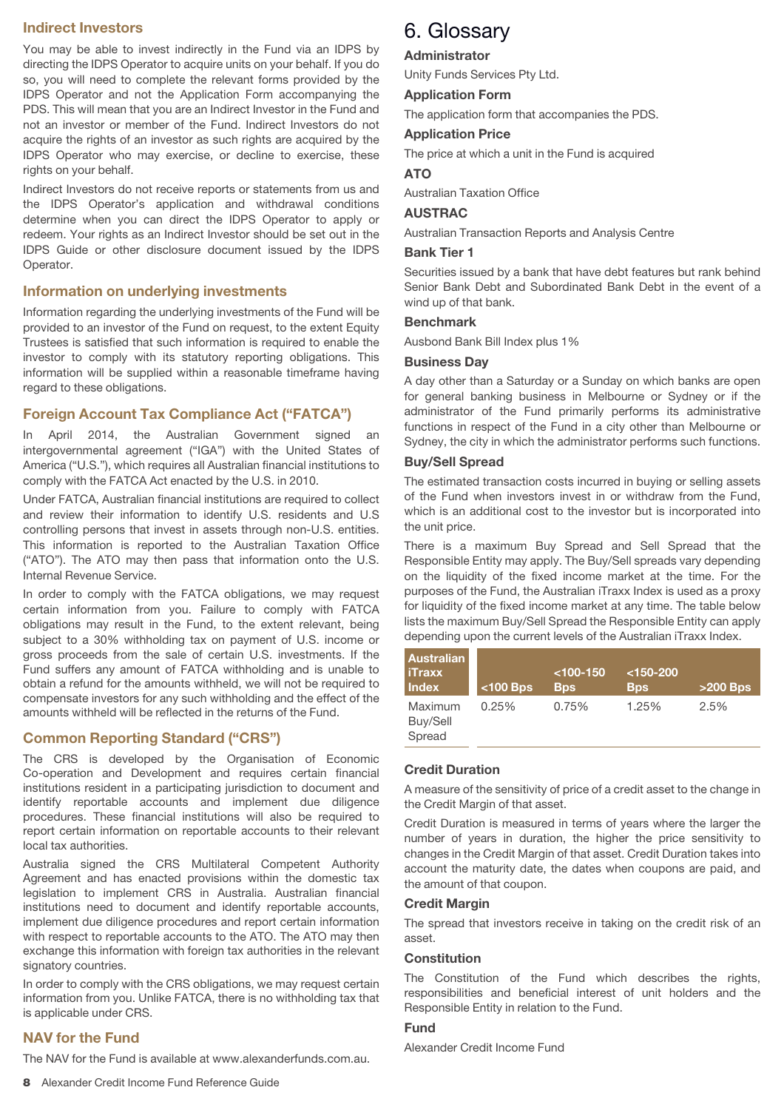# **Indirect Investors**

You may be able to invest indirectly in the Fund via an IDPS by directing the IDPS Operator to acquire units on your behalf. If you do so, you will need to complete the relevant forms provided by the IDPS Operator and not the Application Form accompanying the PDS. This will mean that you are an Indirect Investor in the Fund and not an investor or member of the Fund. Indirect Investors do not acquire the rights of an investor as such rights are acquired by the IDPS Operator who may exercise, or decline to exercise, these rights on your behalf.

Indirect Investors do not receive reports or statements from us and the IDPS Operator's application and withdrawal conditions determine when you can direct the IDPS Operator to apply or redeem. Your rights as an Indirect Investor should be set out in the IDPS Guide or other disclosure document issued by the IDPS Operator.

#### **Information on underlying investments**

Information regarding the underlying investments of the Fund will be provided to an investor of the Fund on request, to the extent Equity Trustees is satisfied that such information is required to enable the investor to comply with its statutory reporting obligations. This information will be supplied within a reasonable timeframe having regard to these obligations.

# **Foreign Account Tax Compliance Act ("FATCA")**

In April 2014, the Australian Government signed an intergovernmental agreement ("IGA") with the United States of America ("U.S."), which requires all Australian financial institutions to comply with the FATCA Act enacted by the U.S. in 2010.

Under FATCA, Australian financial institutions are required to collect and review their information to identify U.S. residents and U.S controlling persons that invest in assets through non-U.S. entities. This information is reported to the Australian Taxation Office ("ATO"). The ATO may then pass that information onto the U.S. Internal Revenue Service.

In order to comply with the FATCA obligations, we may request certain information from you. Failure to comply with FATCA obligations may result in the Fund, to the extent relevant, being subject to a 30% withholding tax on payment of U.S. income or gross proceeds from the sale of certain U.S. investments. If the Fund suffers any amount of FATCA withholding and is unable to obtain a refund for the amounts withheld, we will not be required to compensate investors for any such withholding and the effect of the amounts withheld will be reflected in the returns of the Fund.

# **Common Reporting Standard ("CRS")**

The CRS is developed by the Organisation of Economic Co-operation and Development and requires certain financial institutions resident in a participating jurisdiction to document and identify reportable accounts and implement due diligence procedures. These financial institutions will also be required to report certain information on reportable accounts to their relevant local tax authorities.

Australia signed the CRS Multilateral Competent Authority Agreement and has enacted provisions within the domestic tax legislation to implement CRS in Australia. Australian financial institutions need to document and identify reportable accounts, implement due diligence procedures and report certain information with respect to reportable accounts to the ATO. The ATO may then exchange this information with foreign tax authorities in the relevant signatory countries.

In order to comply with the CRS obligations, we may request certain information from you. Unlike FATCA, there is no withholding tax that is applicable under CRS.

#### **NAV for the Fund**

The NAV for the Fund is available at www.alexanderfunds.com.au.

#### **Administrator**

Unity Funds Services Pty Ltd.

#### **Application Form**

The application form that accompanies the PDS.

# **Application Price**

The price at which a unit in the Fund is acquired

#### **ATO**

Australian Taxation Office

#### **AUSTRAC**

Australian Transaction Reports and Analysis Centre

#### **Bank Tier 1**

Securities issued by a bank that have debt features but rank behind Senior Bank Debt and Subordinated Bank Debt in the event of a wind up of that bank.

# **Benchmark**

Ausbond Bank Bill Index plus 1%

#### **Business Day**

A day other than a Saturday or a Sunday on which banks are open for general banking business in Melbourne or Sydney or if the administrator of the Fund primarily performs its administrative functions in respect of the Fund in a city other than Melbourne or Sydney, the city in which the administrator performs such functions.

#### **Buy/Sell Spread**

The estimated transaction costs incurred in buying or selling assets of the Fund when investors invest in or withdraw from the Fund, which is an additional cost to the investor but is incorporated into the unit price.

There is a maximum Buy Spread and Sell Spread that the Responsible Entity may apply. The Buy/Sell spreads vary depending on the liquidity of the fixed income market at the time. For the purposes of the Fund, the Australian iTraxx Index is used as a proxy for liquidity of the fixed income market at any time. The table below lists the maximum Buy/Sell Spread the Responsible Entity can apply depending upon the current levels of the Australian iTraxx Index.

| <b>Australian</b><br><b>iTraxx</b><br><b>Index</b> | $<$ 100 Bps | $<$ 100-150<br><b>B</b> ps | $<$ 150-200<br><b>Bps</b> | $>200$ Bps |
|----------------------------------------------------|-------------|----------------------------|---------------------------|------------|
| Maximum<br>Buy/Sell<br>Spread                      | 0.25%       | 0.75%                      | 1.25%                     | 2.5%       |

## **Credit Duration**

A measure of the sensitivity of price of a credit asset to the change in the Credit Margin of that asset.

Credit Duration is measured in terms of years where the larger the number of years in duration, the higher the price sensitivity to changes in the Credit Margin of that asset. Credit Duration takes into account the maturity date, the dates when coupons are paid, and the amount of that coupon.

#### **Credit Margin**

The spread that investors receive in taking on the credit risk of an asset.

#### **Constitution**

The Constitution of the Fund which describes the rights, responsibilities and beneficial interest of unit holders and the Responsible Entity in relation to the Fund.

## **Fund**

Alexander Credit Income Fund